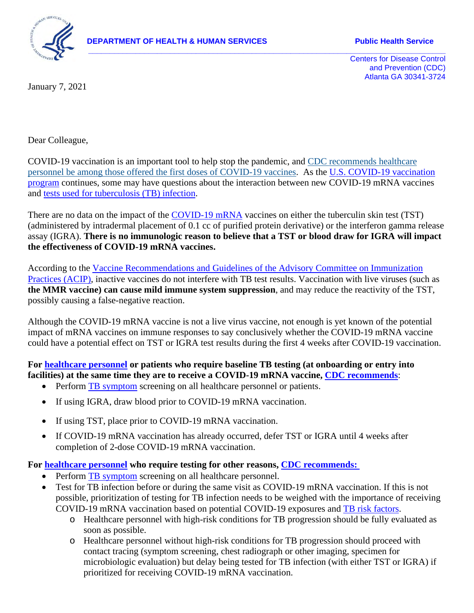

**DEPARTMENT OF HEALTH & HUMAN SERVICES FOR SERVICE Public Health Service** 

**\_\_\_\_\_\_\_\_\_\_\_\_\_\_\_\_\_\_\_\_\_\_\_\_\_\_\_\_\_\_\_\_\_\_\_\_\_\_\_\_\_\_\_\_\_\_\_\_\_\_\_\_\_\_\_\_\_\_\_\_\_\_\_\_\_\_\_\_\_\_\_\_\_\_\_\_\_\_\_\_\_\_\_** Centers for Disease Control and Prevention (CDC) Atlanta GA 30341-3724

January 7, 2021

Dear Colleague,

COVID-19 vaccination is an important tool to help stop the pandemic, and [CDC recommends healthcare](https://www.cdc.gov/mmwr/volumes/69/wr/mm6949e1.htm)  [personnel be among those offered the first doses of COVID-19 vaccines.](https://www.cdc.gov/mmwr/volumes/69/wr/mm6949e1.htm) As the U.S. COVID-19 vaccination [program](https://www.cdc.gov/coronavirus/2019-ncov/vaccines/index.html) continues, some may have questions about the interaction between new COVID-19 mRNA vaccines and [tests used for tuberculosis \(TB\) infection.](https://www.cdc.gov/tb/topic/testing/tbtesttypes.htm)

There are no data on the impact of the [COVID-19 mRNA](https://www.cdc.gov/coronavirus/2019-ncov/vaccines/different-vaccines/mRNA.html) vaccines on either the tuberculin skin test (TST) (administered by intradermal placement of 0.1 cc of purified protein derivative) or the interferon gamma release assay (IGRA). **There is no immunologic reason to believe that a TST or blood draw for IGRA will impact the effectiveness of COVID-19 mRNA vaccines.**

According to the [Vaccine Recommendations and Guidelines of the Advisory Committee on Immunization](https://www.cdc.gov/vaccines/hcp/acip-recs/general-recs/special-situations.html#administration)  [Practices \(ACIP\),](https://www.cdc.gov/vaccines/hcp/acip-recs/general-recs/special-situations.html#administration) inactive vaccines do not interfere with TB test results. Vaccination with live viruses (such as **the MMR vaccine) can cause mild immune system suppression**, and may reduce the reactivity of the TST, possibly causing a false-negative reaction.

Although the COVID-19 mRNA vaccine is not a live virus vaccine, not enough is yet known of the potential impact of mRNA vaccines on immune responses to say conclusively whether the COVID-19 mRNA vaccine could have a potential effect on TST or IGRA test results during the first 4 weeks after COVID-19 vaccination.

**For [healthcare personnel](https://www.cdc.gov/tb/topic/testing/healthcareworkers.htm) or patients who require baseline TB testing (at onboarding or entry into facilities) at the same time they are to receive a COVID-19 mRNA vaccine, [CDC recommends](https://www.cdc.gov/vaccines/covid-19/info-by-product/clinical-considerations.html)**:

- Perform **TB** symptom screening on all healthcare personnel or patients.
- If using IGRA, draw blood prior to COVID-19 mRNA vaccination.
- If using TST, place prior to COVID-19 mRNA vaccination.
- If COVID-19 mRNA vaccination has already occurred, defer TST or IGRA until 4 weeks after completion of 2-dose COVID-19 mRNA vaccination.

## **For [healthcare personnel](https://www.cdc.gov/tb/topic/testing/healthcareworkers.htm) who require testing for other reasons, [CDC recommends:](https://www.cdc.gov/vaccines/covid-19/info-by-product/clinical-considerations.html)**

- Perform [TB symptom](https://www.cdc.gov/tb/topic/basics/signsandsymptoms.htm) screening on all healthcare personnel.
- Test for TB infection before or during the same visit as COVID-19 mRNA vaccination. If this is not possible, prioritization of testing for TB infection needs to be weighed with the importance of receiving COVID-19 mRNA vaccination based on potential COVID-19 exposures and [TB risk factors.](https://www.cdc.gov/tb/topic/basics/risk.htm)
	- o Healthcare personnel with high-risk conditions for TB progression should be fully evaluated as soon as possible.
	- o Healthcare personnel without high-risk conditions for TB progression should proceed with contact tracing (symptom screening, chest radiograph or other imaging, specimen for microbiologic evaluation) but delay being tested for TB infection (with either TST or IGRA) if prioritized for receiving COVID-19 mRNA vaccination.